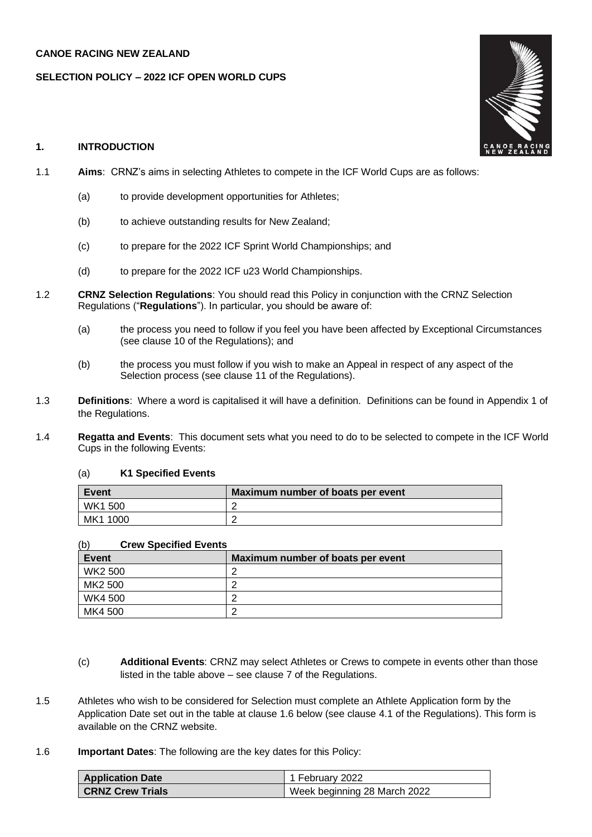## **CANOE RACING NEW ZEALAND**

#### **SELECTION POLICY – 2022 ICF OPEN WORLD CUPS**

#### **1. INTRODUCTION**

- 1.1 **Aims**: CRNZ's aims in selecting Athletes to compete in the ICF World Cups are as follows:
	- (a) to provide development opportunities for Athletes;
	- (b) to achieve outstanding results for New Zealand;
	- (c) to prepare for the 2022 ICF Sprint World Championships; and
	- (d) to prepare for the 2022 ICF u23 World Championships.
- 1.2 **CRNZ Selection Regulations**: You should read this Policy in conjunction with the CRNZ Selection Regulations ("**Regulations**"). In particular, you should be aware of:
	- (a) the process you need to follow if you feel you have been affected by Exceptional Circumstances (see clause 10 of the Regulations); and
	- (b) the process you must follow if you wish to make an Appeal in respect of any aspect of the Selection process (see clause 11 of the Regulations).
- 1.3 **Definitions**: Where a word is capitalised it will have a definition. Definitions can be found in Appendix 1 of the Regulations.
- 1.4 **Regatta and Events**: This document sets what you need to do to be selected to compete in the ICF World Cups in the following Events:

## (a) **K1 Specified Events**

| Event          | Maximum number of boats per event |
|----------------|-----------------------------------|
| <b>WK1 500</b> |                                   |
| MK1 1000       |                                   |

| (b)<br><b>Crew Specified Events</b> |                                   |  |
|-------------------------------------|-----------------------------------|--|
| Event                               | Maximum number of boats per event |  |
| WK2 500                             |                                   |  |
| MK2 500                             |                                   |  |
| WK4 500                             |                                   |  |
| MK4 500                             |                                   |  |

- (c) **Additional Events**: CRNZ may select Athletes or Crews to compete in events other than those listed in the table above – see clause 7 of the Regulations.
- 1.5 Athletes who wish to be considered for Selection must complete an Athlete Application form by the Application Date set out in the table at clause 1.6 below (see clause 4.1 of the Regulations). This form is available on the CRNZ website.
- 1.6 **Important Dates**: The following are the key dates for this Policy:

| <b>Application Date</b> | 1 February 2022              |
|-------------------------|------------------------------|
| <b>CRNZ Crew Trials</b> | Week beginning 28 March 2022 |

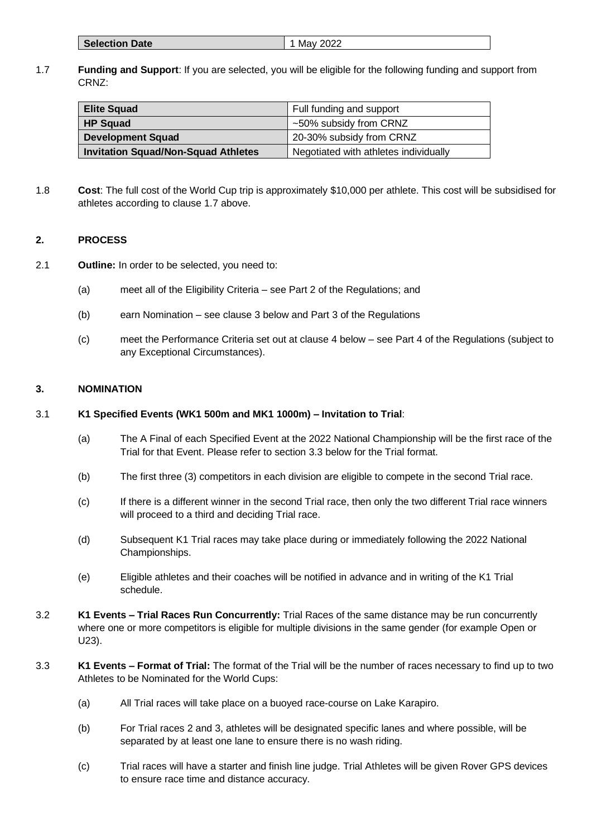| <b>Selection Date</b> | May 2022 |
|-----------------------|----------|
|-----------------------|----------|

## 1.7 **Funding and Support**: If you are selected, you will be eligible for the following funding and support from CRNZ:

| <b>Elite Squad</b>                         | Full funding and support              |
|--------------------------------------------|---------------------------------------|
| <b>HP Squad</b>                            | ~50% subsidy from CRNZ                |
| Development Squad                          | 20-30% subsidy from CRNZ              |
| <b>Invitation Squad/Non-Squad Athletes</b> | Negotiated with athletes individually |

1.8 **Cost**: The full cost of the World Cup trip is approximately \$10,000 per athlete. This cost will be subsidised for athletes according to clause 1.7 above.

## **2. PROCESS**

- 2.1 **Outline:** In order to be selected, you need to:
	- (a) meet all of the Eligibility Criteria see Part 2 of the Regulations; and
	- (b) earn Nomination see clause 3 below and Part 3 of the Regulations
	- (c) meet the Performance Criteria set out at clause 4 below see Part 4 of the Regulations (subject to any Exceptional Circumstances).

#### **3. NOMINATION**

# 3.1 **K1 Specified Events (WK1 500m and MK1 1000m) – Invitation to Trial**:

- (a) The A Final of each Specified Event at the 2022 National Championship will be the first race of the Trial for that Event. Please refer to section 3.3 below for the Trial format.
- (b) The first three (3) competitors in each division are eligible to compete in the second Trial race.
- (c) If there is a different winner in the second Trial race, then only the two different Trial race winners will proceed to a third and deciding Trial race.
- (d) Subsequent K1 Trial races may take place during or immediately following the 2022 National Championships.
- (e) Eligible athletes and their coaches will be notified in advance and in writing of the K1 Trial schedule.
- 3.2 **K1 Events – Trial Races Run Concurrently:** Trial Races of the same distance may be run concurrently where one or more competitors is eligible for multiple divisions in the same gender (for example Open or U23).
- 3.3 **K1 Events – Format of Trial:** The format of the Trial will be the number of races necessary to find up to two Athletes to be Nominated for the World Cups:
	- (a) All Trial races will take place on a buoyed race-course on Lake Karapiro.
	- (b) For Trial races 2 and 3, athletes will be designated specific lanes and where possible, will be separated by at least one lane to ensure there is no wash riding.
	- (c) Trial races will have a starter and finish line judge. Trial Athletes will be given Rover GPS devices to ensure race time and distance accuracy.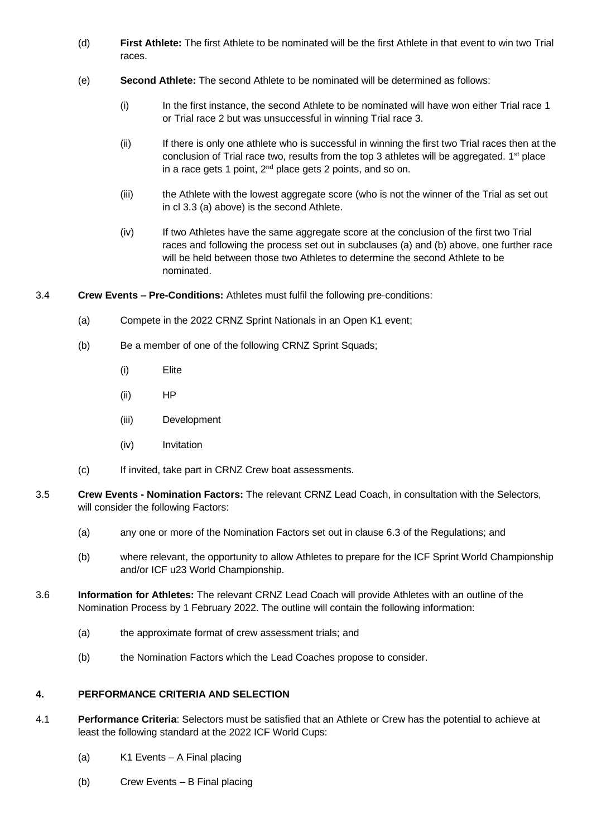- (d) **First Athlete:** The first Athlete to be nominated will be the first Athlete in that event to win two Trial races.
- (e) **Second Athlete:** The second Athlete to be nominated will be determined as follows:
	- (i) In the first instance, the second Athlete to be nominated will have won either Trial race 1 or Trial race 2 but was unsuccessful in winning Trial race 3.
	- (ii) If there is only one athlete who is successful in winning the first two Trial races then at the conclusion of Trial race two, results from the top 3 athletes will be aggregated.  $1<sup>st</sup>$  place in a race gets 1 point,  $2<sup>nd</sup>$  place gets 2 points, and so on.
	- (iii) the Athlete with the lowest aggregate score (who is not the winner of the Trial as set out in cl 3.3 (a) above) is the second Athlete.
	- (iv) If two Athletes have the same aggregate score at the conclusion of the first two Trial races and following the process set out in subclauses (a) and (b) above, one further race will be held between those two Athletes to determine the second Athlete to be nominated.
- 3.4 **Crew Events – Pre-Conditions:** Athletes must fulfil the following pre-conditions:
	- (a) Compete in the 2022 CRNZ Sprint Nationals in an Open K1 event;
	- (b) Be a member of one of the following CRNZ Sprint Squads;
		- (i) Elite
		- (ii) HP
		- (iii) Development
		- (iv) Invitation
	- (c) If invited, take part in CRNZ Crew boat assessments.
- 3.5 **Crew Events - Nomination Factors:** The relevant CRNZ Lead Coach, in consultation with the Selectors, will consider the following Factors:
	- (a) any one or more of the Nomination Factors set out in clause 6.3 of the Regulations; and
	- (b) where relevant, the opportunity to allow Athletes to prepare for the ICF Sprint World Championship and/or ICF u23 World Championship.
- 3.6 **Information for Athletes:** The relevant CRNZ Lead Coach will provide Athletes with an outline of the Nomination Process by 1 February 2022. The outline will contain the following information:
	- (a) the approximate format of crew assessment trials; and
	- (b) the Nomination Factors which the Lead Coaches propose to consider.

# **4. PERFORMANCE CRITERIA AND SELECTION**

- 4.1 **Performance Criteria**: Selectors must be satisfied that an Athlete or Crew has the potential to achieve at least the following standard at the 2022 ICF World Cups:
	- (a) K1 Events A Final placing
	- (b) Crew Events B Final placing